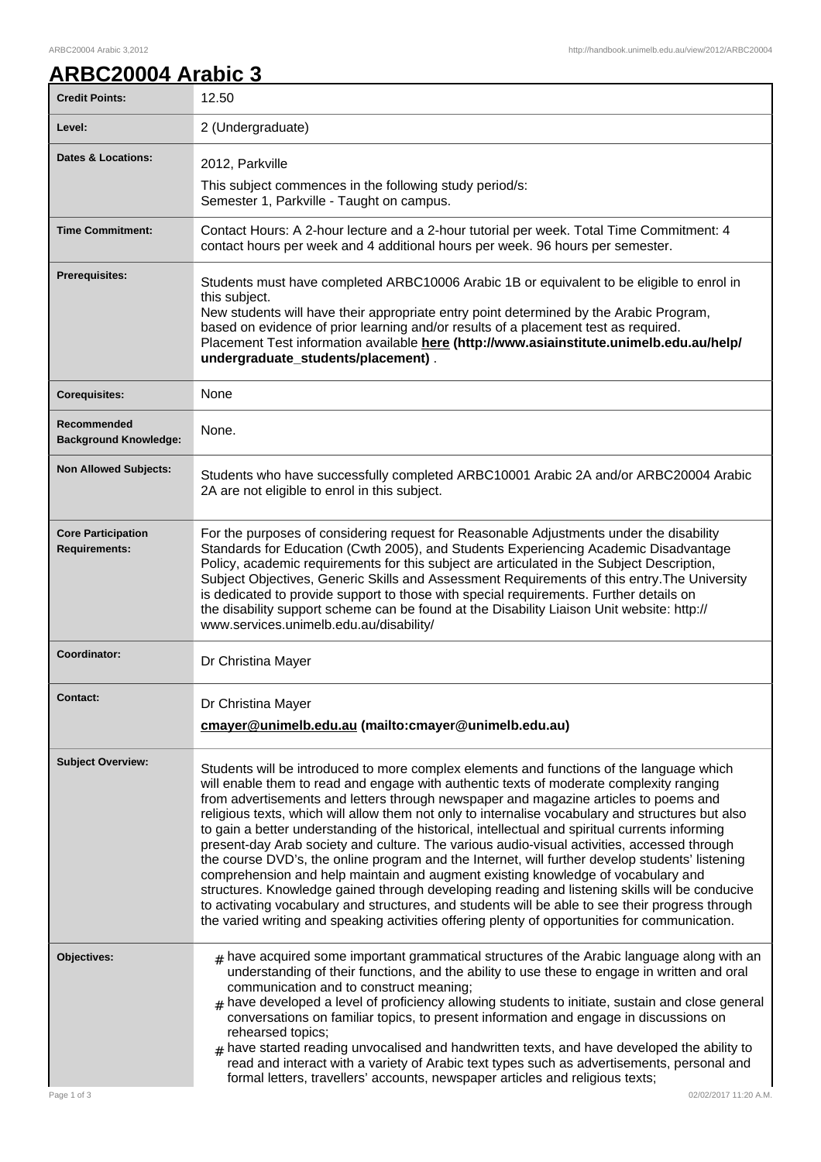## **ARBC20004 Arabic 3**

| <b>Credit Points:</b>                             | 12.50                                                                                                                                                                                                                                                                                                                                                                                                                                                                                                                                                                                                                                                                                                                                                                                                                                                                                                                                                                                                                                                                             |
|---------------------------------------------------|-----------------------------------------------------------------------------------------------------------------------------------------------------------------------------------------------------------------------------------------------------------------------------------------------------------------------------------------------------------------------------------------------------------------------------------------------------------------------------------------------------------------------------------------------------------------------------------------------------------------------------------------------------------------------------------------------------------------------------------------------------------------------------------------------------------------------------------------------------------------------------------------------------------------------------------------------------------------------------------------------------------------------------------------------------------------------------------|
| Level:                                            | 2 (Undergraduate)                                                                                                                                                                                                                                                                                                                                                                                                                                                                                                                                                                                                                                                                                                                                                                                                                                                                                                                                                                                                                                                                 |
| <b>Dates &amp; Locations:</b>                     | 2012, Parkville<br>This subject commences in the following study period/s:<br>Semester 1, Parkville - Taught on campus.                                                                                                                                                                                                                                                                                                                                                                                                                                                                                                                                                                                                                                                                                                                                                                                                                                                                                                                                                           |
| <b>Time Commitment:</b>                           | Contact Hours: A 2-hour lecture and a 2-hour tutorial per week. Total Time Commitment: 4<br>contact hours per week and 4 additional hours per week. 96 hours per semester.                                                                                                                                                                                                                                                                                                                                                                                                                                                                                                                                                                                                                                                                                                                                                                                                                                                                                                        |
| <b>Prerequisites:</b>                             | Students must have completed ARBC10006 Arabic 1B or equivalent to be eligible to enrol in<br>this subject.<br>New students will have their appropriate entry point determined by the Arabic Program,<br>based on evidence of prior learning and/or results of a placement test as required.<br>Placement Test information available here (http://www.asiainstitute.unimelb.edu.au/help/<br>undergraduate_students/placement).                                                                                                                                                                                                                                                                                                                                                                                                                                                                                                                                                                                                                                                     |
| <b>Corequisites:</b>                              | None                                                                                                                                                                                                                                                                                                                                                                                                                                                                                                                                                                                                                                                                                                                                                                                                                                                                                                                                                                                                                                                                              |
| Recommended<br><b>Background Knowledge:</b>       | None.                                                                                                                                                                                                                                                                                                                                                                                                                                                                                                                                                                                                                                                                                                                                                                                                                                                                                                                                                                                                                                                                             |
| <b>Non Allowed Subjects:</b>                      | Students who have successfully completed ARBC10001 Arabic 2A and/or ARBC20004 Arabic<br>2A are not eligible to enrol in this subject.                                                                                                                                                                                                                                                                                                                                                                                                                                                                                                                                                                                                                                                                                                                                                                                                                                                                                                                                             |
| <b>Core Participation</b><br><b>Requirements:</b> | For the purposes of considering request for Reasonable Adjustments under the disability<br>Standards for Education (Cwth 2005), and Students Experiencing Academic Disadvantage<br>Policy, academic requirements for this subject are articulated in the Subject Description,<br>Subject Objectives, Generic Skills and Assessment Requirements of this entry. The University<br>is dedicated to provide support to those with special requirements. Further details on<br>the disability support scheme can be found at the Disability Liaison Unit website: http://<br>www.services.unimelb.edu.au/disability/                                                                                                                                                                                                                                                                                                                                                                                                                                                                  |
| Coordinator:                                      | Dr Christina Mayer                                                                                                                                                                                                                                                                                                                                                                                                                                                                                                                                                                                                                                                                                                                                                                                                                                                                                                                                                                                                                                                                |
| <b>Contact:</b>                                   | Dr Christina Mayer<br>cmayer@unimelb.edu.au (mailto:cmayer@unimelb.edu.au)                                                                                                                                                                                                                                                                                                                                                                                                                                                                                                                                                                                                                                                                                                                                                                                                                                                                                                                                                                                                        |
| <b>Subject Overview:</b>                          | Students will be introduced to more complex elements and functions of the language which<br>will enable them to read and engage with authentic texts of moderate complexity ranging<br>from advertisements and letters through newspaper and magazine articles to poems and<br>religious texts, which will allow them not only to internalise vocabulary and structures but also<br>to gain a better understanding of the historical, intellectual and spiritual currents informing<br>present-day Arab society and culture. The various audio-visual activities, accessed through<br>the course DVD's, the online program and the Internet, will further develop students' listening<br>comprehension and help maintain and augment existing knowledge of vocabulary and<br>structures. Knowledge gained through developing reading and listening skills will be conducive<br>to activating vocabulary and structures, and students will be able to see their progress through<br>the varied writing and speaking activities offering plenty of opportunities for communication. |
| Objectives:<br>Page 1 of 3                        | $_{\text{\#}}$ have acquired some important grammatical structures of the Arabic language along with an<br>understanding of their functions, and the ability to use these to engage in written and oral<br>communication and to construct meaning;<br>have developed a level of proficiency allowing students to initiate, sustain and close general<br>#<br>conversations on familiar topics, to present information and engage in discussions on<br>rehearsed topics;<br>$_{\#}$ have started reading unvocalised and handwritten texts, and have developed the ability to<br>read and interact with a variety of Arabic text types such as advertisements, personal and<br>formal letters, travellers' accounts, newspaper articles and religious texts;<br>02/02/2017 11:20 A.M.                                                                                                                                                                                                                                                                                              |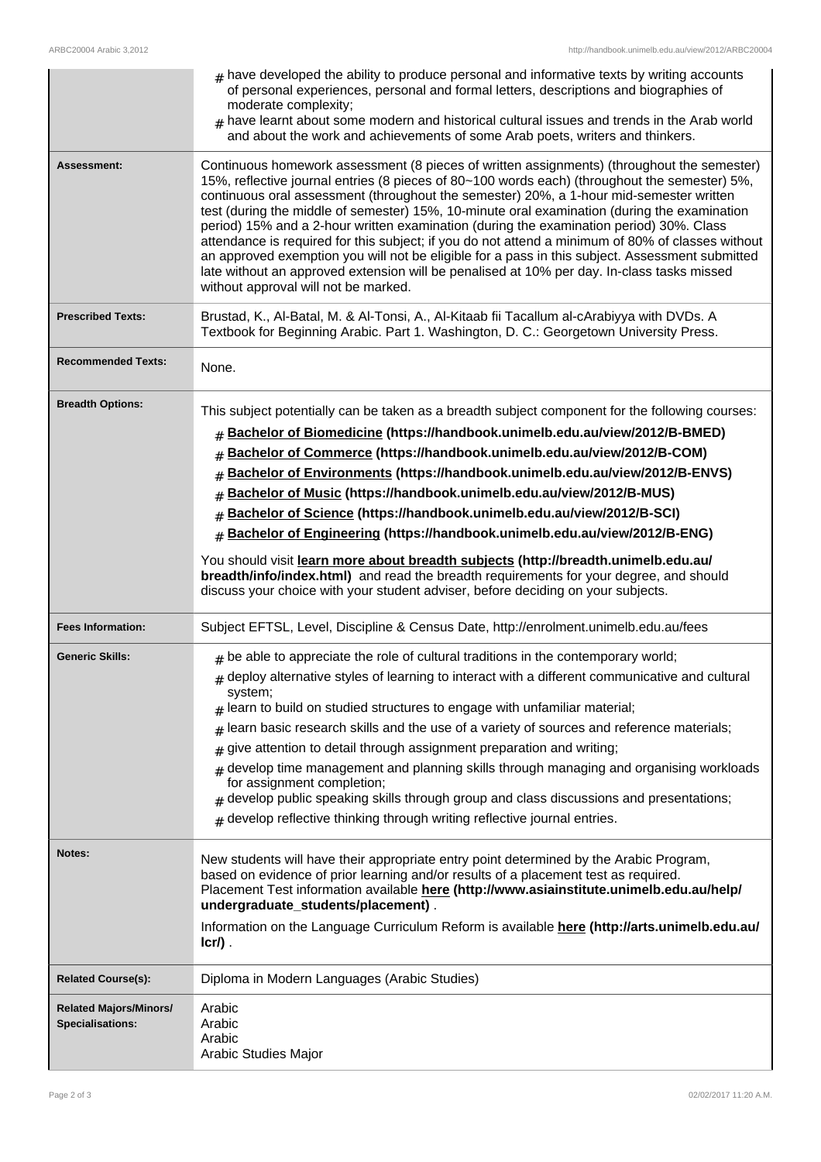|                                                          | $#$ have developed the ability to produce personal and informative texts by writing accounts<br>of personal experiences, personal and formal letters, descriptions and biographies of<br>moderate complexity;<br>$_{\#}$ have learnt about some modern and historical cultural issues and trends in the Arab world<br>and about the work and achievements of some Arab poets, writers and thinkers.                                                                                                                                                                                                                                                                                                                                                                                                                                                                   |
|----------------------------------------------------------|-----------------------------------------------------------------------------------------------------------------------------------------------------------------------------------------------------------------------------------------------------------------------------------------------------------------------------------------------------------------------------------------------------------------------------------------------------------------------------------------------------------------------------------------------------------------------------------------------------------------------------------------------------------------------------------------------------------------------------------------------------------------------------------------------------------------------------------------------------------------------|
| <b>Assessment:</b>                                       | Continuous homework assessment (8 pieces of written assignments) (throughout the semester)<br>15%, reflective journal entries (8 pieces of 80~100 words each) (throughout the semester) 5%,<br>continuous oral assessment (throughout the semester) 20%, a 1-hour mid-semester written<br>test (during the middle of semester) 15%, 10-minute oral examination (during the examination<br>period) 15% and a 2-hour written examination (during the examination period) 30%. Class<br>attendance is required for this subject; if you do not attend a minimum of 80% of classes without<br>an approved exemption you will not be eligible for a pass in this subject. Assessment submitted<br>late without an approved extension will be penalised at 10% per day. In-class tasks missed<br>without approval will not be marked.                                       |
| <b>Prescribed Texts:</b>                                 | Brustad, K., Al-Batal, M. & Al-Tonsi, A., Al-Kitaab fii Tacallum al-cArabiyya with DVDs. A<br>Textbook for Beginning Arabic. Part 1. Washington, D. C.: Georgetown University Press.                                                                                                                                                                                                                                                                                                                                                                                                                                                                                                                                                                                                                                                                                  |
| <b>Recommended Texts:</b>                                | None.                                                                                                                                                                                                                                                                                                                                                                                                                                                                                                                                                                                                                                                                                                                                                                                                                                                                 |
| <b>Breadth Options:</b>                                  | This subject potentially can be taken as a breadth subject component for the following courses:<br>Bachelor of Biomedicine (https://handbook.unimelb.edu.au/view/2012/B-BMED)<br>#<br>Bachelor of Commerce (https://handbook.unimelb.edu.au/view/2012/B-COM)<br>#<br>Bachelor of Environments (https://handbook.unimelb.edu.au/view/2012/B-ENVS)<br>#<br>Bachelor of Music (https://handbook.unimelb.edu.au/view/2012/B-MUS)<br>#<br>Bachelor of Science (https://handbook.unimelb.edu.au/view/2012/B-SCI)<br>#<br>Bachelor of Engineering (https://handbook.unimelb.edu.au/view/2012/B-ENG)<br>#<br>You should visit learn more about breadth subjects (http://breadth.unimelb.edu.au/<br>breadth/info/index.html) and read the breadth requirements for your degree, and should<br>discuss your choice with your student adviser, before deciding on your subjects. |
| <b>Fees Information:</b>                                 | Subject EFTSL, Level, Discipline & Census Date, http://enrolment.unimelb.edu.au/fees                                                                                                                                                                                                                                                                                                                                                                                                                                                                                                                                                                                                                                                                                                                                                                                  |
| <b>Generic Skills:</b>                                   | $#$ be able to appreciate the role of cultural traditions in the contemporary world;<br>$_{\#}$ deploy alternative styles of learning to interact with a different communicative and cultural<br>system;<br>learn to build on studied structures to engage with unfamiliar material;<br>#<br>learn basic research skills and the use of a variety of sources and reference materials;<br>#<br>give attention to detail through assignment preparation and writing;<br>#<br>develop time management and planning skills through managing and organising workloads<br>#<br>for assignment completion;<br>develop public speaking skills through group and class discussions and presentations;<br>#<br>develop reflective thinking through writing reflective journal entries.                                                                                          |
| Notes:                                                   | New students will have their appropriate entry point determined by the Arabic Program,<br>based on evidence of prior learning and/or results of a placement test as required.<br>Placement Test information available here (http://www.asiainstitute.unimelb.edu.au/help/<br>undergraduate_students/placement).<br>Information on the Language Curriculum Reform is available here (http://arts.unimelb.edu.au/<br>$lcr/$ ).                                                                                                                                                                                                                                                                                                                                                                                                                                          |
| <b>Related Course(s):</b>                                | Diploma in Modern Languages (Arabic Studies)                                                                                                                                                                                                                                                                                                                                                                                                                                                                                                                                                                                                                                                                                                                                                                                                                          |
| <b>Related Majors/Minors/</b><br><b>Specialisations:</b> | Arabic<br>Arabic<br>Arabic<br>Arabic Studies Major                                                                                                                                                                                                                                                                                                                                                                                                                                                                                                                                                                                                                                                                                                                                                                                                                    |